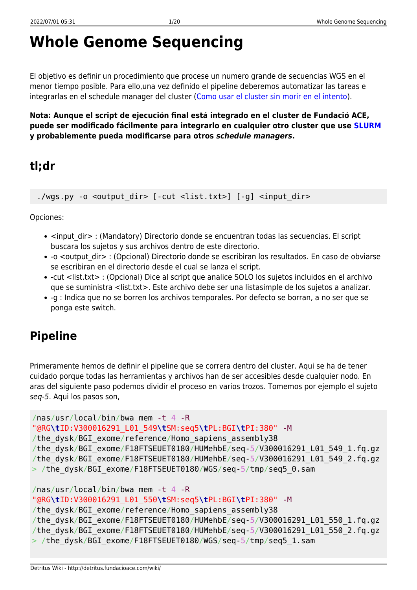# **Whole Genome Sequencing**

El objetivo es definir un procedimiento que procese un numero grande de secuencias WGS en el menor tiempo posible. Para ello,una vez definido el pipeline deberemos automatizar las tareas e integrarlas en el schedule manager del cluster ([Como usar el cluster sin morir en el intento\)](http://detritus.fundacioace.com/wiki/doku.php?id=cluster).

**Nota: Aunque el script de ejecución final está integrado en el cluster de Fundació ACE, puede ser modificado fácilmente para integrarlo en cualquier otro cluster que use [SLURM](https://slurm.schedmd.com/) y probablemente pueda modificarse para otros** *schedule managers***.**

### **tl;dr**

./wgs.py -o <output dir> [-cut <list.txt>] [-g] <input dir>

Opciones:

- <input dir> : (Mandatory) Directorio donde se encuentran todas las secuencias. El script buscara los sujetos y sus archivos dentro de este directorio.
- -o <output dir> : (Opcional) Directorio donde se escribiran los resultados. En caso de obviarse se escribiran en el directorio desde el cual se lanza el script.
- -cut <list.txt> : (Opcional) Dice al script que analice SOLO los sujetos incluidos en el archivo que se suministra <list.txt>. Este archivo debe ser una listasimple de los sujetos a analizar.
- -g : Indica que no se borren los archivos temporales. Por defecto se borran, a no ser que se ponga este switch.

## **Pipeline**

Primeramente hemos de definir el pipeline que se correra dentro del cluster. Aqui se ha de tener cuidado porque todas las herramientas y archivos han de ser accesibles desde cualquier nodo. En aras del siguiente paso podemos dividir el proceso en varios trozos. Tomemos por ejemplo el sujeto seq-5. Aqui los pasos son,

```
/nas/usr/local/bin/bwa mem -t 4 -R
"@RG\tID:V300016291_L01_549\tSM:seq5\tPL:BGI\tPI:380" -M
/the dysk/BGI exome/reference/Homo sapiens assembly38
/the_dysk/BGI_exome/F18FTSEUET0180/HUMehbE/seq-5/V300016291_L01_549_1.fq.gz
/the_dysk/BGI_exome/F18FTSEUET0180/HUMehbE/seq-5/V300016291_L01_549_2.fq.gz
> /the_dysk/BGI_exome/F18FTSEUET0180/WGS/seq-5/tmp/seq5_0.sam
/nas/usr/local/bin/bwa mem -t 4 -R
```

```
"@RG\tID:V300016291_L01_550\tSM:seq5\tPL:BGI\tPI:380" -M
/the dysk/BGI exome/reference/Homo sapiens assembly38
/the_dysk/BGI_exome/F18FTSEUET0180/HUMehbE/seq-5/V300016291_L01_550_1.fq.gz
/the_dysk/BGI_exome/F18FTSEUET0180/HUMehbE/seq-5/V300016291_L01_550_2.fq.gz
> /the_dysk/BGI_exome/F18FTSEUET0180/WGS/seq-5/tmp/seq5_1.sam
```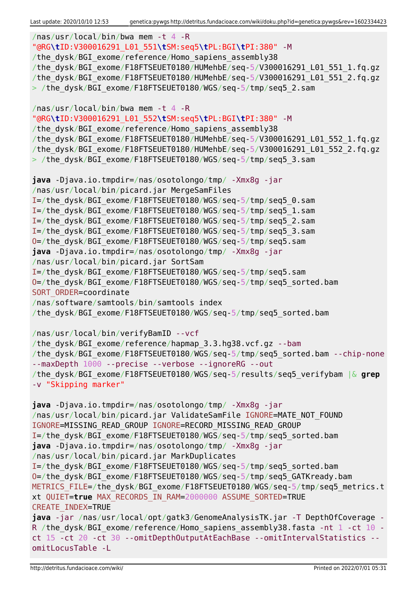```
/nas/usr/local/bin/bwa mem -t 4 -R
"@RG\tID:V300016291_L01_551\tSM:seq5\tPL:BGI\tPI:380" -M
/the dysk/BGI exome/reference/Homo sapiens assembly38
/the_dysk/BGI_exome/F18FTSEUET0180/HUMehbE/seq-5/V300016291_L01_551_1.fq.gz
/the_dysk/BGI_exome/F18FTSEUET0180/HUMehbE/seq-5/V300016291_L01_551_2.fq.gz
> /the dysk/BGI exome/F18FTSEUET0180/WGS/seq-5/tmp/seq5 2.sam
/nas/usr/local/bin/bwa mem -t 4 -R
"@RG\tID:V300016291_L01_552\tSM:seq5\tPL:BGI\tPI:380" -M
/the dysk/BGI exome/reference/Homo sapiens assembly38
/the_dysk/BGI_exome/F18FTSEUET0180/HUMehbE/seq-5/V300016291_L01_552_1.fq.gz
/the_dysk/BGI_exome/F18FTSEUET0180/HUMehbE/seq-5/V300016291_L01_552_2.fq.gz
> /the dysk/BGI exome/F18FTSEUET0180/WGS/seq-5/tmp/seq5 3.sam
java -Djava.io.tmpdir=/nas/osotolongo/tmp/ -Xmx8g -jar
/nas/usr/local/bin/picard.jar MergeSamFiles
I=/the_dysk/BGI_exome/F18FTSEUET0180/WGS/seq-5/tmp/seq5_0.sam
I=/the_dysk/BGI_exome/F18FTSEUET0180/WGS/seq-5/tmp/seq5_1.sam
I=/the_dysk/BGI_exome/F18FTSEUET0180/WGS/seq-5/tmp/seq5_2.sam
I=/the_dysk/BGI_exome/F18FTSEUET0180/WGS/seq-5/tmp/seq5_3.sam
O=/the_dysk/BGI_exome/F18FTSEUET0180/WGS/seq-5/tmp/seq5.sam
java -Djava.io.tmpdir=/nas/osotolongo/tmp/ -Xmx8g -jar
/nas/usr/local/bin/picard.jar SortSam
I=/the_dysk/BGI_exome/F18FTSEUET0180/WGS/seq-5/tmp/seq5.sam
O=/the_dysk/BGI_exome/F18FTSEUET0180/WGS/seq-5/tmp/seq5_sorted.bam
SORT ORDER=coordinate
/nas/software/samtools/bin/samtools index
/the_dysk/BGI_exome/F18FTSEUET0180/WGS/seq-5/tmp/seq5_sorted.bam
/nas/usr/local/bin/verifyBamID --vcf
/the dysk/BGI exome/reference/hapmap 3.3.hg38.vcf.gz --bam
/the_dysk/BGI_exome/F18FTSEUET0180/WGS/seq-5/tmp/seq5_sorted.bam --chip-none
--maxDepth 1000 --precise --verbose --ignoreRG --out
/the_dysk/BGI_exome/F18FTSEUET0180/WGS/seq-5/results/seq5_verifybam |& grep
-v "Skipping marker"
java -Djava.io.tmpdir=/nas/osotolongo/tmp/ -Xmx8g -jar
/nas/usr/local/bin/picard.jar ValidateSamFile IGNORE=MATE NOT FOUND
IGNORE=MISSING_READ_GROUP IGNORE=RECORD_MISSING_READ_GROUP
I=/the_dysk/BGI_exome/F18FTSEUET0180/WGS/seq-5/tmp/seq5_sorted.bam
java -Djava.io.tmpdir=/nas/osotolongo/tmp/ -Xmx8g -jar
/nas/usr/local/bin/picard.jar MarkDuplicates
I=/the_dysk/BGI_exome/F18FTSEUET0180/WGS/seq-5/tmp/seq5_sorted.bam
O=/the_dysk/BGI_exome/F18FTSEUET0180/WGS/seq-5/tmp/seq5_GATKready.bam
METRICS FILE=/the dysk/BGI exome/F18FTSEUET0180/WGS/seq-5/tmp/seq5 metrics.t
xt QUIET=true MAX_RECORDS_IN_RAM=2000000 ASSUME_SORTED=TRUE
CREATE_INDEX=TRUE
java -jar /nas/usr/local/opt/gatk3/GenomeAnalysisTK.jar -T DepthOfCoverage -
R /the dysk/BGI exome/reference/Homo sapiens assembly38.fasta -nt 1 -ct 10 -
ct 15 -ct 20 -ct 30 --omitDepthOutputAtEachBase --omitIntervalStatistics --
omitLocusTable -L
```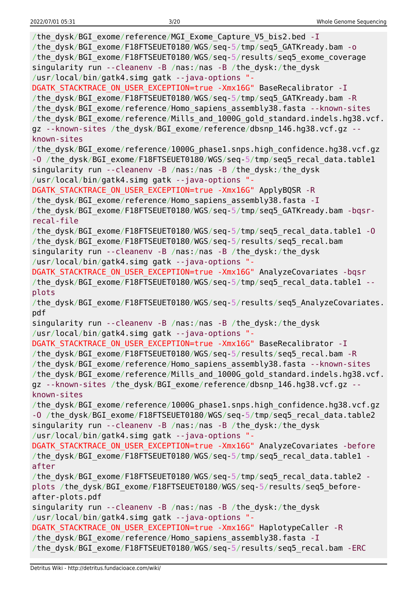| /the dysk/BGI exome/reference/MGI Exome Capture V5 bis2.bed - I<br>/the_dysk/BGI_exome/F18FTSEUET0180/WGS/seq-5/tmp/seq5_GATKready.bam - o<br>/the_dysk/BGI_exome/F18FTSEUET0180/WGS/seq-5/results/seq5_exome_coverage<br>singularity run --cleanenv -B /nas:/nas -B /the_dysk:/the_dysk<br>/usr/local/bin/gatk4.simg gatk --java-options "-                                                                                                              |
|-----------------------------------------------------------------------------------------------------------------------------------------------------------------------------------------------------------------------------------------------------------------------------------------------------------------------------------------------------------------------------------------------------------------------------------------------------------|
| DGATK STACKTRACE ON USER EXCEPTION=true -Xmx16G" BaseRecalibrator - I<br>/the_dysk/BGI_exome/F18FTSEUET0180/WGS/seq-5/tmp/seq5_GATKready.bam -R<br>/the_dysk/BGI_exome/reference/Homo_sapiens_assembly38.fasta --known-sites<br>/the_dysk/BGI_exome/reference/Mills_and_1000G_gold_standard.indels.hg38.vcf.<br>gz --known-sites /the dysk/BGI exome/reference/dbsnp 146.hg38.vcf.gz --                                                                   |
| known-sites<br>/the_dysk/BGI_exome/reference/1000G_phase1.snps.high_confidence.hg38.vcf.gz<br>-0 /the_dysk/BGI_exome/F18FTSEUET0180/WGS/seq-5/tmp/seq5_recal_data.table1<br>singularity run --cleanenv -B /nas:/nas -B /the_dysk:/the_dysk                                                                                                                                                                                                                |
| /usr/local/bin/gatk4.simg gatk --java-options "-<br>DGATK_STACKTRACE_ON_USER_EXCEPTION=true -Xmx16G" ApplyBQSR -R<br>/the dysk/BGI exome/reference/Homo sapiens assembly38.fasta - I<br>/the_dysk/BGI_exome/F18FTSEUET0180/WGS/seq-5/tmp/seq5_GATKready.bam -bqsr-<br>recal-file                                                                                                                                                                          |
| /the_dysk/BGI_exome/F18FTSEUET0180/WGS/seq-5/tmp/seq5_recal_data.table1 -0<br>/the_dysk/BGI_exome/F18FTSEUET0180/WGS/seq-5/results/seq5_recal.bam<br>singularity run --cleanenv -B /nas:/nas -B /the_dysk:/the_dysk<br>/usr/local/bin/gatk4.simg gatk --java-options "-                                                                                                                                                                                   |
| DGATK STACKTRACE ON USER EXCEPTION=true -Xmx16G" AnalyzeCovariates -bqsr<br>/the_dysk/BGI_exome/F18FTSEUET0180/WGS/seq-5/tmp/seq5_recal_data.table1 --<br>plots                                                                                                                                                                                                                                                                                           |
| /the_dysk/BGI_exome/F18FTSEUET0180/WGS/seq-5/results/seq5_AnalyzeCovariates.<br>pdf                                                                                                                                                                                                                                                                                                                                                                       |
| singularity run --cleanenv -B /nas:/nas -B /the dysk:/the dysk                                                                                                                                                                                                                                                                                                                                                                                            |
| /usr/local/bin/gatk4.simg gatk --java-options "-<br>DGATK STACKTRACE ON USER EXCEPTION=true -Xmx16G" BaseRecalibrator -I<br>/the dysk/BGI exome/F18FTSEUET0180/WGS/seq-5/results/seq5 recal.bam -R<br>/the_dysk/BGI_exome/reference/Homo_sapiens_assembly38.fasta --known-sites<br>/the dysk/BGI exome/reference/Mills and 1000G gold standard.indels.hg38.vcf.<br>gz --known-sites /the dysk/BGI exome/reference/dbsnp 146.hg38.vcf.gz --<br>known-sites |
| /the dysk/BGI exome/reference/1000G phasel.snps.high confidence.hg38.vcf.gz<br>-0 /the_dysk/BGI_exome/F18FTSEUET0180/WGS/seq-5/tmp/seq5 recal data.table2<br>singularity run --cleanenv -B /nas:/nas -B /the_dysk:/the_dysk                                                                                                                                                                                                                               |
| /usr/local/bin/gatk4.simg gatk --java-options "-<br>DGATK STACKTRACE ON USER EXCEPTION=true -Xmx16G" AnalyzeCovariates -before<br>/the_dysk/BGI_exome/F18FTSEUET0180/WGS/seq-5/tmp/seq5_recal_data.table1 -<br>after                                                                                                                                                                                                                                      |
| /the_dysk/BGI_exome/F18FTSEUET0180/WGS/seq-5/tmp/seq5_recal_data.table2 -<br>plots /the_dysk/BGI_exome/F18FTSEUET0180/WGS/seq-5/results/seq5_before-<br>after-plots.pdf                                                                                                                                                                                                                                                                                   |
| singularity run --cleanenv -B /nas:/nas -B /the dysk:/the dysk<br>/usr/local/bin/gatk4.simg gatk --java-options "-                                                                                                                                                                                                                                                                                                                                        |
| DGATK STACKTRACE ON USER EXCEPTION=true -Xmx16G" HaplotypeCaller -R<br>/the_dysk/BGI_exome/reference/Homo_sapiens_assembly38.fasta - I<br>/the_dysk/BGI_exome/F18FTSEUET0180/WGS/seq-5/results/seq5_recal.bam -ERC                                                                                                                                                                                                                                        |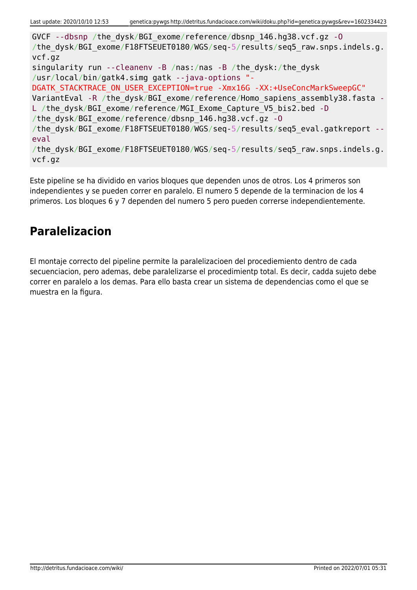GVCF --dbsnp /the\_dysk/BGI\_exome/reference/dbsnp\_146.hg38.vcf.gz -O /the dysk/BGI exome/F18FTSEUET0180/WGS/seq-5/results/seq5 raw.snps.indels.g. vcf.gz singularity run --cleanenv -B /nas:/nas -B /the\_dysk:/the\_dysk /usr/local/bin/gatk4.simg gatk --java-options "- DGATK STACKTRACE ON USER EXCEPTION=true -Xmx16G -XX:+UseConcMarkSweepGC" VariantEval -R /the dysk/BGI\_exome/reference/Homo\_sapiens\_assembly38.fasta -L /the dysk/BGI exome/reference/MGI Exome Capture V5 bis2.bed -D /the\_dysk/BGI\_exome/reference/dbsnp\_146.hg38.vcf.gz -O /the dysk/BGI exome/F18FTSEUET0180/WGS/seq-5/results/seq5 eval.gatkreport -eval /the dysk/BGI exome/F18FTSEUET0180/WGS/seq-5/results/seq5 raw.snps.indels.g. vcf.gz

Este pipeline se ha dividido en varios bloques que dependen unos de otros. Los 4 primeros son independientes y se pueden correr en paralelo. El numero 5 depende de la terminacion de los 4 primeros. Los bloques 6 y 7 dependen del numero 5 pero pueden correrse independientemente.

### **Paralelizacion**

El montaje correcto del pipeline permite la paralelizacioen del procediemiento dentro de cada secuenciacion, pero ademas, debe paralelizarse el procedimientp total. Es decir, cadda sujeto debe correr en paralelo a los demas. Para ello basta crear un sistema de dependencias como el que se muestra en la figura.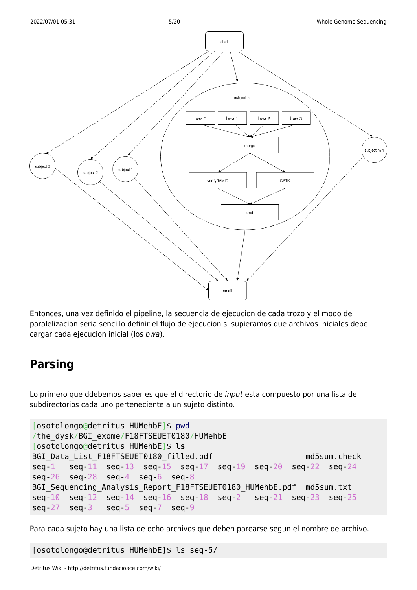

Entonces, una vez definido el pipeline, la secuencia de ejecucion de cada trozo y el modo de paralelizacion seria sencillo definir el flujo de ejecucion si supieramos que archivos iniciales debe cargar cada ejecucion inicial (los bwa).

### **Parsing**

Lo primero que ddebemos saber es que el directorio de input esta compuesto por una lista de subdirectorios cada uno perteneciente a un sujeto distinto.

```
[osotolongo@detritus HUMehbE]$ pwd
/the_dysk/BGI_exome/F18FTSEUET0180/HUMehbE
[osotolongo@detritus HUMehbE]$ ls
BGI Data List F18FTSEUET0180 filled.pdf md5sum.check
seq-1 seq-11 seq-13 seq-15 seq-17 seq-19 seq-20 seq-22 seq-24
seq-26 seq-28 seq-4 seq-6 seq-8
BGI Sequencing Analysis Report F18FTSEUET0180 HUMehbE.pdf md5sum.txt
seq-10 seq-12 seq-14 seq-16 seq-18 seq-2 seq-21 seq-23 seq-25
seq-27 seq-3 seq-5 seq-7 seq-9
```
Para cada sujeto hay una lista de ocho archivos que deben parearse segun el nombre de archivo.

[osotolongo@detritus HUMehbE]\$ ls seq-5/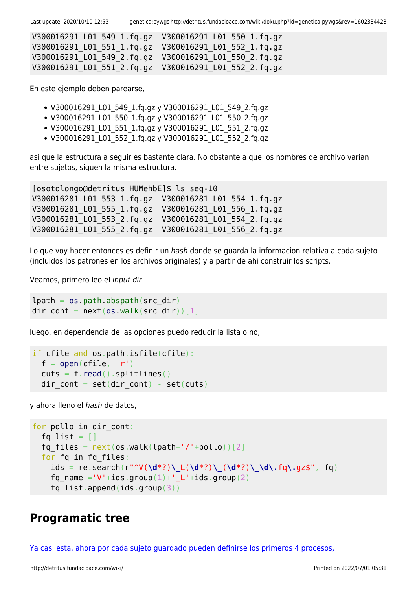Last update: 2020/10/10 12:53 genetica:pywgs http://detritus.fundacioace.com/wiki/doku.php?id=genetica:pywgs&rev=1602334423

| V300016291 L01 549 1.fg.gz  V300016291 L01 550 1.fg.gz |  |
|--------------------------------------------------------|--|
| V300016291 L01 551 1.fg.gz  V300016291 L01 552 1.fg.gz |  |
| V300016291 L01 549 2.fq.gz  V300016291 L01 550 2.fq.gz |  |
| V300016291 L01 551 2.fq.gz  V300016291 L01 552 2.fq.gz |  |

En este ejemplo deben parearse,

- V300016291\_L01\_549\_1.fq.gz y V300016291\_L01\_549\_2.fq.gz
- V300016291\_L01\_550\_1.fq.gz y V300016291\_L01\_550\_2.fq.gz
- V300016291 L01 551 1.fq.gz y V300016291 L01 551 2.fq.gz
- V300016291 L01 552 1.fg.gz y V300016291 L01 552 2.fg.gz

asi que la estructura a seguir es bastante clara. No obstante a que los nombres de archivo varian entre sujetos, siguen la misma estructura.

[osotolongo@detritus HUMehbE]\$ ls seq-10 V300016281\_L01\_553\_1.fq.gz V300016281\_L01\_554\_1.fq.gz V300016281\_L01\_555\_1.fq.gz V300016281\_L01\_556\_1.fq.gz V300016281\_L01\_553\_2.fq.gz V300016281\_L01\_554\_2.fq.gz V300016281\_L01\_555\_2.fq.gz V300016281\_L01\_556\_2.fq.gz

Lo que voy hacer entonces es definir un hash donde se guarda la informacion relativa a cada sujeto (incluidos los patrones en los archivos originales) y a partir de ahi construir los scripts.

Veamos, primero leo el input dir

```
lpath = os.pathr<sub>obs</sub>, abspath(src dir)</sub>
dir cont = next(os.walk(src dir))[1]
```
luego, en dependencia de las opciones puedo reducir la lista o no,

```
if cfile and os.path.isfile(cfile):
 open(cfile, 'r')read().splitlines()dir cont = set(dir cont) - set(cuts)
```
y ahora lleno el hash de datos,

```
for pollo in dir cont:
  fq list = []fq files = next(os.walk(lpath+'/'+pollo))[2] for fq in fq_files:
     ids = re.search(r"^V(\d*?)\_L(\d*?)\_(\d*?)\_\d\.fq\.gz$", fq)
    fq name ='V'+ids.group(1)+' L'+ids.group(2)
    fq list.append(ids.group(3))
```
### **Programatic tree**

[Ya casi esta, ahora por cada sujeto guardado pueden definirse los primeros 4 procesos,](#page--1-0)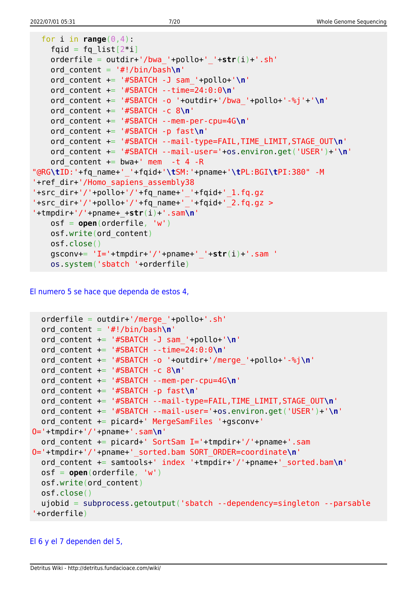```
for i in range(0, 4):
   fqid = fq\_list[2 * i] orderfile = outdir+'/bwa_'+pollo+'_'+str(i)+'.sh'
    ord_content = '#!/bin/bash\n'
    ord_content += '#SBATCH -J sam_'+pollo+'\n'
    ord_content += '#SBATCH --time=24:0:0\n'
    ord_content += '#SBATCH -o '+outdir+'/bwa_'+pollo+'-%j'+'\n'
    ord_content += '#SBATCH -c 8\n'
    ord_content += '#SBATCH --mem-per-cpu=4G\n'
    ord_content += '#SBATCH -p fast\n'
    ord_content += '#SBATCH --mail-type=FAIL,TIME_LIMIT,STAGE_OUT\n'
    ord_content += '#SBATCH --mail-user='+os.environ.get('USER')+'\n'
   ord content += bwa+' mem -t 4 -R
"@RG\tID:'+fq_name+'_'+fqid+'\tSM:'+pname+'\tPL:BGI\tPI:380" -M
'+ref_dir+'/Homo_sapiens_assembly38
'+src_dir+'/'+pollo+'/'+fq_name+'_'+fqid+'_1.fq.gz
'+src dir+'/'+pollo+'/'+fq name+' '+fqid+' 2.fq.gz >
'+tmpdir+'/'+pname+_+str(i)+'.sam\n'
    osf = open(orderfile, 'w')
    osf.write(ord_content)
    osf.close()
    gsconv+= 'I='+tmpdir+'/'+pname+'_'+str(i)+'.sam '
    os.system('sbatch '+orderfile)
```
[El numero 5 se hace que dependa de estos 4,](#page--1-0)

```
 orderfile = outdir+'/merge_'+pollo+'.sh'
   ord_content = '#!/bin/bash\n'
   ord_content += '#SBATCH -J sam_'+pollo+'\n'
   ord_content += '#SBATCH --time=24:0:0\n'
   ord_content += '#SBATCH -o '+outdir+'/merge_'+pollo+'-%j\n'
   ord_content += '#SBATCH -c 8\n'
   ord_content += '#SBATCH --mem-per-cpu=4G\n'
   ord_content += '#SBATCH -p fast\n'
   ord_content += '#SBATCH --mail-type=FAIL,TIME_LIMIT,STAGE_OUT\n'
   ord_content += '#SBATCH --mail-user='+os.environ.get('USER')+'\n'
   ord_content += picard+' MergeSamFiles '+gsconv+'
O='+tmpdir+'/'+pname+'.sam\n'
   ord_content += picard+' SortSam I='+tmpdir+'/'+pname+'.sam
O='+tmpdir+'/'+pname+'_sorted.bam SORT_ORDER=coordinate\n'
   ord_content += samtools+' index '+tmpdir+'/'+pname+'_sorted.bam\n'
   osf = open(orderfile, 'w')
   osf.write(ord_content)
  osf.close()
   ujobid = subprocess.getoutput('sbatch --dependency=singleton --parsable
'+orderfile)
```
### [El 6 y el 7 dependen del 5,](#page--1-0)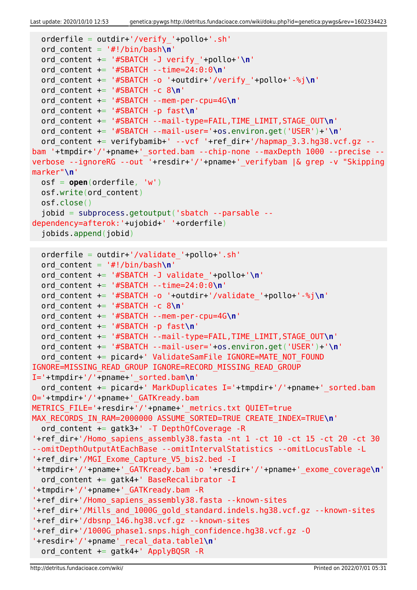Last update: 2020/10/10 12:53 genetica:pywgs http://detritus.fundacioace.com/wiki/doku.php?id=genetica:pywgs&rev=1602334423

```
 orderfile = outdir+'/verify_'+pollo+'.sh'
   ord_content = '#!/bin/bash\n'
   ord_content += '#SBATCH -J verify_'+pollo+'\n'
  ord_content += '#SBATCH --time=24:0:0\n'
  ord_content += '#SBATCH -o '+outdir+'/verify_'+pollo+'-%j\n'
   ord_content += '#SBATCH -c 8\n'
  ord_content += '#SBATCH --mem-per-cpu=4G\n'
  ord_content += '#SBATCH -p fast\n'
  ord_content += '#SBATCH --mail-type=FAIL,TIME_LIMIT,STAGE_OUT\n'
  ord_content += '#SBATCH --mail-user='+os.environ.get('USER')+'\n'
  ord content += verifybamib+' --vcf '+ref dir+'/hapmap 3.3.hg38.vcf.gz --
bam '+tmpdir+'/'+pname+'_sorted.bam --chip-none --maxDepth 1000 --precise --
verbose --ignoreRG --out '+resdir+'/'+pname+'_verifybam |& grep -v "Skipping
marker"\n'
  osf = open(orderfile, 'w')
  osf.write(ord_content)
  osf.close()
   jobid = subprocess.getoutput('sbatch --parsable --
dependency=afterok:'+ujobid+' '+orderfile)
   jobids.append(jobid)
  orderfile = outdir+'/validate_'+pollo+'.sh'
  ord_content = '#!/bin/bash\n'
  ord_content += '#SBATCH -J validate_'+pollo+'\n'
  ord_content += '#SBATCH --time=24:0:0\n'
  ord_content += '#SBATCH -o '+outdir+'/validate_'+pollo+'-%j\n'
  ord_content += '#SBATCH -c 8\n'
  ord_content += '#SBATCH --mem-per-cpu=4G\n'
   ord_content += '#SBATCH -p fast\n'
  ord_content += '#SBATCH --mail-type=FAIL,TIME_LIMIT,STAGE_OUT\n'
  ord_content += '#SBATCH --mail-user='+os.environ.get('USER')+'\n'
  ord content += picard+' ValidateSamFile IGNORE=MATE NOT FOUND
IGNORE=MISSING_READ_GROUP IGNORE=RECORD_MISSING_READ_GROUP
I='+tmpdir+'/'+pname+'_sorted.bam\n'
  ord content += picard+' MarkDuplicates I='+tmpdir+'/'+pname+' sorted.bam
O='+tmpdir+'/'+pname+'_GATKready.bam
METRICS_FILE='+resdir+'/'+pname+'_metrics.txt QUIET=true
MAX_RECORDS_IN_RAM=2000000 ASSUME_SORTED=TRUE CREATE_INDEX=TRUE\n'
   ord_content += gatk3+' -T DepthOfCoverage -R
'+ref_dir+'/Homo_sapiens_assembly38.fasta -nt 1 -ct 10 -ct 15 -ct 20 -ct 30
--omitDepthOutputAtEachBase --omitIntervalStatistics --omitLocusTable -L
'+ref_dir+'/MGI_Exome_Capture_V5_bis2.bed -I
'+tmpdir+'/'+pname+'_GATKready.bam -o '+resdir+'/'+pname+'_exome_coverage\n'
  ord content += gatk4+' BaseRecalibrator -I
'+tmpdir+'/'+pname+'_GATKready.bam -R
'+ref_dir+'/Homo_sapiens_assembly38.fasta --known-sites
'+ref_dir+'/Mills_and_1000G_gold_standard.indels.hg38.vcf.gz --known-sites
'+ref_dir+'/dbsnp_146.hg38.vcf.gz --known-sites
'+ref_dir+'/1000G_phase1.snps.high_confidence.hg38.vcf.gz -O
'+resdir+'/'+pname'_recal_data.table1\n'
  ord content += gatk4+' ApplyBQSR -R
```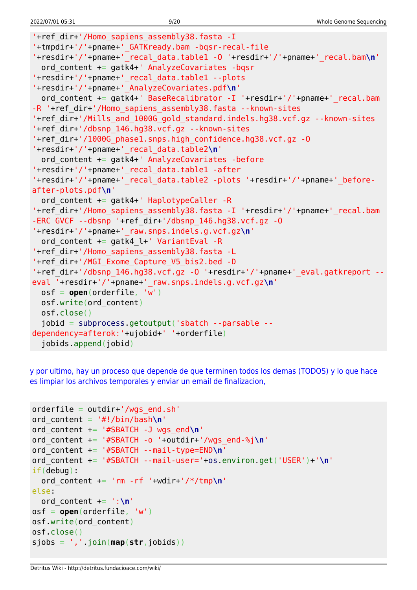```
'+ref_dir+'/Homo_sapiens_assembly38.fasta -I
'+tmpdir+'/'+pname+'_GATKready.bam -bqsr-recal-file
'+resdir+'/'+pname+'_recal_data.table1 -O '+resdir+'/'+pname+'_recal.bam\n'
   ord_content += gatk4+' AnalyzeCovariates -bqsr
'+resdir+'/'+pname+'_recal_data.table1 --plots
'+resdir+'/'+pname+'_AnalyzeCovariates.pdf\n'
  ord content += gatk4+' BaseRecalibrator -I '+resdir+'/'+pname+'_recal.bam
-R '+ref dir+'/Homo sapiens assembly38.fasta --known-sites
'+ref_dir+'/Mills_and_1000G_gold_standard.indels.hg38.vcf.gz --known-sites
'+ref_dir+'/dbsnp_146.hg38.vcf.gz --known-sites
'+ref_dir+'/1000G_phase1.snps.high_confidence.hg38.vcf.gz -O
'+resdir+'/'+pname+'_recal_data.table2\n'
  ord content += gatk4+' AnalyzeCovariates -before
'+resdir+'/'+pname+'_recal_data.table1 -after
'+resdir+'/'+pname+'_recal_data.table2 -plots '+resdir+'/'+pname+'_before-
after-plots.pdf\n'
   ord_content += gatk4+' HaplotypeCaller -R
'+ref_dir+'/Homo_sapiens_assembly38.fasta -I '+resdir+'/'+pname+' recal.bam
-ERC GVCF --dbsnp '+ref_dir+'/dbsnp_146.hg38.vcf.gz -O
'+resdir+'/'+pname+'_raw.snps.indels.g.vcf.gz\n'
  ord content += gatk4 l+' VariantEval -R
'+ref_dir+'/Homo_sapiens_assembly38.fasta -L
'+ref_dir+'/MGI_Exome_Capture_V5_bis2.bed -D
'+ref_dir+'/dbsnp_146.hg38.vcf.gz -O '+resdir+'/'+pname+'_eval.gatkreport --
eval '+resdir+'/'+pname+'_raw.snps.indels.g.vcf.gz\n'
  osf = open(orderfile, 'w')
  osf.write(ord_content)
  osf.close()
   jobid = subprocess.getoutput('sbatch --parsable --
dependency=afterok:'+ujobid+' '+orderfile)
   jobids.append(jobid)
```
[y por ultimo, hay un proceso que depende de que terminen todos los demas \(TODOS\) y lo que hace](#page--1-0) [es limpiar los archivos temporales y enviar un email de finalizacion,](#page--1-0)

```
orderfile = outdir+'/wgs end.sh'
ord_content = '#!/bin/bash\n'
ord_content += '#SBATCH -J wgs_end\n'
ord_content += '#SBATCH -o '+outdir+'/wgs_end-%j\n'
ord_content += '#SBATCH --mail-type=END\n'
ord_content += '#SBATCH --mail-user='+os.environ.get('USER')+'\n'
if(debug):
   ord_content += 'rm -rf '+wdir+'/*/tmp\n'
else:
  ord content += ':\n\cdot\)osf = open(orderfile, 'w')
osf.write(ord_content)
osf.close()
sjobs = ','.join(map(str,jobids))
```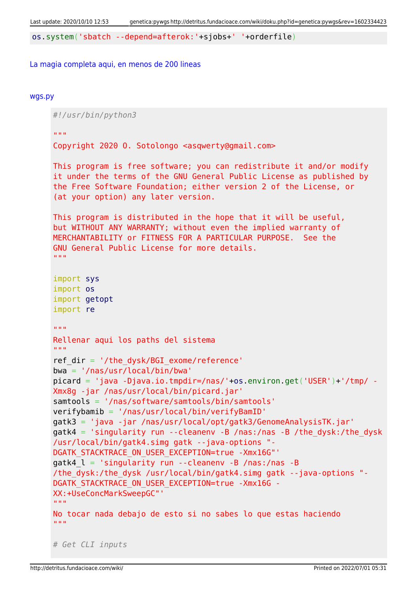os.system('sbatch --depend=afterok:'+sjobs+' '+orderfile)

#### [La magia completa aqui, en menos de 200 lineas](#page--1-0)

#### [wgs.py](http://detritus.fundacioace.com/wiki/doku.php?do=export_code&id=genetica:pywgs&codeblock=13)

*#!/usr/bin/python3* "" "" "" Copyright 2020 O. Sotolongo <asqwerty@gmail.com> This program is free software; you can redistribute it and/or modify it under the terms of the GNU General Public License as published by the Free Software Foundation; either version 2 of the License, or (at your option) any later version. This program is distributed in the hope that it will be useful, but WITHOUT ANY WARRANTY; without even the implied warranty of MERCHANTABILITY or FITNESS FOR A PARTICULAR PURPOSE. See the GNU General Public License for more details. "" "" "" import sys import os import getopt import re  $\overline{m}$ "" Rellenar aqui los paths del sistema  $"$ ""  $"$ ref  $dir = '/the dysk/BGI$  exome/reference' bwa = '/nas/usr/local/bin/bwa' picard = 'java -Djava.io.tmpdir=/nas/'+os.environ.get('USER')+'/tmp/ - Xmx8g -jar /nas/usr/local/bin/picard.jar' samtools = '/nas/software/samtools/bin/samtools' verifybamib = '/nas/usr/local/bin/verifyBamID' gatk3 = 'java -jar /nas/usr/local/opt/gatk3/GenomeAnalysisTK.jar'  $g$ atk4 = 'singularity run --cleanenv -B /nas:/nas -B /the dysk:/the dysk /usr/local/bin/gatk4.simg gatk --java-options "- DGATK STACKTRACE ON USER EXCEPTION=true -Xmx16G"' gatk4  $l = 'singularity run --cleanenv -B /nas://nas -B$ /the\_dysk:/the\_dysk /usr/local/bin/gatk4.simg gatk --java-options "- DGATK\_STACKTRACE\_ON\_USER\_EXCEPTION=true -Xmx16G - XX:+UseConcMarkSweepGC"' "" "" "" No tocar nada debajo de esto si no sabes lo que estas haciendo "" "" "" *# Get CLI inputs*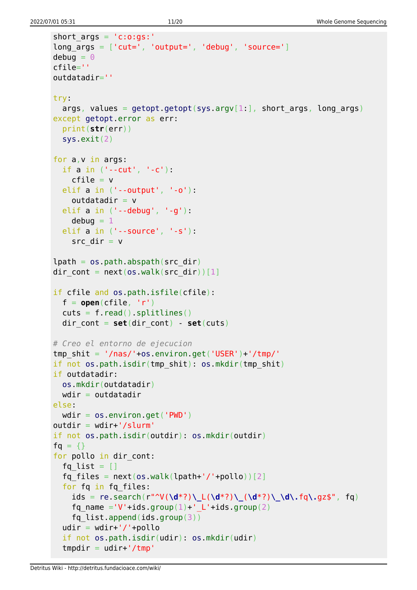```
short args = 'c:o:gs:'long_{\text{args}} = [\text{'cut='}, 'output='', 'debug', 'source='}]debua = 0cfile=''
outdatadir=''
try:
  args, values = getopt.getopt(sys.argv[1:], short args, long args)
except getopt.error as err:
   print(str(err))
   sys.exit(2)
for a,v in args:
   if a in ('--cut', '-c'):
    cfile = velif a in ('--output'. ' - o'):
    outdatadir = v elif a in ('--debug', '-g'):
    debuq = 1 elif a in ('--source', '-s'):
    src dir = vlpath = os.pathr<sub>obs</sub> path. (src dir)</sub>
dir cont = next(os.walk(src dir))[1]
if cfile and os.path.isfile(cfile):
  f = open(cfile, 'r')cuts = f.read().splitlines()dir cont = set(dir \text{ cont}) - set(cuts)# Creo el entorno de ejecucion
tmp shit = '/nas/'+os.environ.get('USER')+'/tmp/'if not os.path.isdir(tmp_shit): os.mkdir(tmp_shit)
if outdatadir:
  os.mkdir(outdatadir)
 wdir = outdatadirelse:
 wdir = os.environ.get('PWD')outdir = wdir+'/slurm'if not os.path.isdir(outdir): os.mkdir(outdir)
fg = \{\}for pollo in dir cont:
  fq list = []fq files = next(os.walk(lpath+'/'+pollo))[2] for fq in fq_files:
     ids = re.search(r"^V(\d*?)\_L(\d*?)\_(\d*?)\_\d\.fq\.gz$", fq)
    fq name ='V'+ids.group(1)+' L'+ids.group(2)
    fq list.append(ids.group(3))
  udir = wdir+'/'+pollo if not os.path.isdir(udir): os.mkdir(udir)
  tmpdir = udir+'/tmp'
```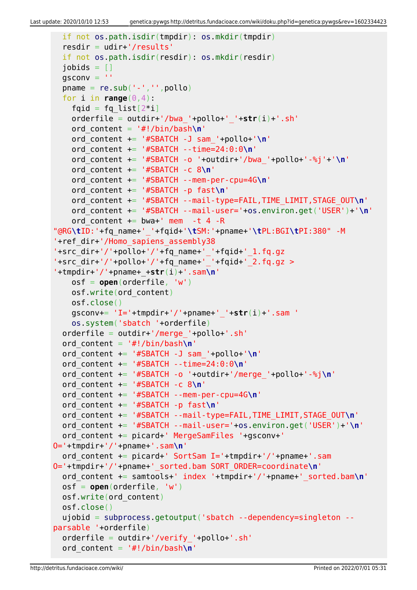```
 if not os.path.isdir(tmpdir): os.mkdir(tmpdir)
   resdir = udir+'/results'
   if not os.path.isdir(resdir): os.mkdir(resdir)
  jobids = []qsconv =<sup>''</sup>
  pname = re.sub('--', ''', poollo)for i in range(0, 4):
    fqid = fq list[2^*i] orderfile = outdir+'/bwa_'+pollo+'_'+str(i)+'.sh'
     ord_content = '#!/bin/bash\n'
     ord_content += '#SBATCH -J sam_'+pollo+'\n'
     ord_content += '#SBATCH --time=24:0:0\n'
     ord_content += '#SBATCH -o '+outdir+'/bwa_'+pollo+'-%j'+'\n'
     ord_content += '#SBATCH -c 8\n'
     ord_content += '#SBATCH --mem-per-cpu=4G\n'
     ord_content += '#SBATCH -p fast\n'
     ord_content += '#SBATCH --mail-type=FAIL,TIME_LIMIT,STAGE_OUT\n'
     ord_content += '#SBATCH --mail-user='+os.environ.get('USER')+'\n'
    ord content += bwa+' mem -t 4 -R
"@RG\tID:'+fq_name+'_'+fqid+'\tSM:'+pname+'\tPL:BGI\tPI:380" -M
'+ref_dir+'/Homo_sapiens_assembly38
'+src_dir+'/'+pollo+'/'+fq_name+'_'+fqid+'_1.fq.gz
'+src_dir+'/'+pollo+'/'+fq_name+'_'+fqid+'_2.fq.gz >
'+tmpdir+'/'+pname+_+str(i)+'.sam\n'
     osf = open(orderfile, 'w')
     osf.write(ord_content)
     osf.close()
     gsconv+= 'I='+tmpdir+'/'+pname+'_'+str(i)+'.sam '
     os.system('sbatch '+orderfile)
   orderfile = outdir+'/merge_'+pollo+'.sh'
   ord_content = '#!/bin/bash\n'
   ord_content += '#SBATCH -J sam_'+pollo+'\n'
   ord_content += '#SBATCH --time=24:0:0\n'
   ord_content += '#SBATCH -o '+outdir+'/merge_'+pollo+'-%j\n'
   ord_content += '#SBATCH -c 8\n'
   ord_content += '#SBATCH --mem-per-cpu=4G\n'
   ord_content += '#SBATCH -p fast\n'
   ord_content += '#SBATCH --mail-type=FAIL,TIME_LIMIT,STAGE_OUT\n'
   ord_content += '#SBATCH --mail-user='+os.environ.get('USER')+'\n'
   ord_content += picard+' MergeSamFiles '+gsconv+'
O='+tmpdir+'/'+pname+'.sam\n'
   ord_content += picard+' SortSam I='+tmpdir+'/'+pname+'.sam
O='+tmpdir+'/'+pname+'_sorted.bam SORT_ORDER=coordinate\n'
   ord_content += samtools+' index '+tmpdir+'/'+pname+'_sorted.bam\n'
   osf = open(orderfile, 'w')
   osf.write(ord_content)
   osf.close()
   ujobid = subprocess.getoutput('sbatch --dependency=singleton --
parsable '+orderfile)
   orderfile = outdir+'/verify_'+pollo+'.sh'
   ord_content = '#!/bin/bash\n'
```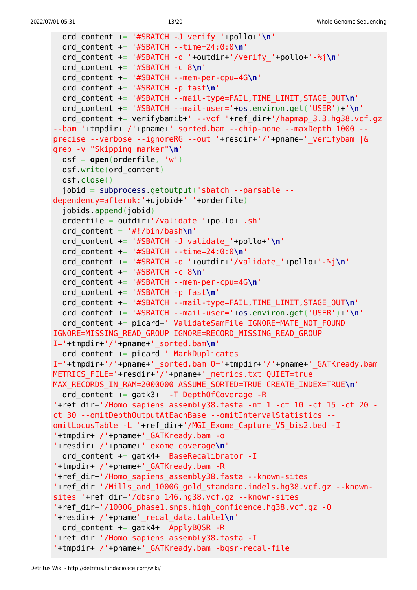```
 ord_content += '#SBATCH -J verify_'+pollo+'\n'
   ord_content += '#SBATCH --time=24:0:0\n'
   ord_content += '#SBATCH -o '+outdir+'/verify_'+pollo+'-%j\n'
   ord_content += '#SBATCH -c 8\n'
   ord_content += '#SBATCH --mem-per-cpu=4G\n'
   ord_content += '#SBATCH -p fast\n'
   ord_content += '#SBATCH --mail-type=FAIL,TIME_LIMIT,STAGE_OUT\n'
   ord_content += '#SBATCH --mail-user='+os.environ.get('USER')+'\n'
  ord content += verifybamib+' --vcf '+ref dir+'/hapmap 3.3.hg38.vcf.gz
--bam '+tmpdir+'/'+pname+' sorted.bam --chip-none --maxDepth 1000 --
precise --verbose --ignoreRG --out '+resdir+'/'+pname+'_verifybam |&
grep -v "Skipping marker"\n'
   osf = open(orderfile, 'w')
   osf.write(ord_content)
   osf.close()
   jobid = subprocess.getoutput('sbatch --parsable --
dependency=afterok:'+ujobid+' '+orderfile)
   jobids.append(jobid)
  orderfile = outdir+'/validate'+pollo+.sh'ord content = '#!/bin/bash\n' ord_content += '#SBATCH -J validate_'+pollo+'\n'
   ord_content += '#SBATCH --time=24:0:0\n'
   ord_content += '#SBATCH -o '+outdir+'/validate_'+pollo+'-%j\n'
   ord_content += '#SBATCH -c 8\n'
   ord_content += '#SBATCH --mem-per-cpu=4G\n'
   ord_content += '#SBATCH -p fast\n'
   ord_content += '#SBATCH --mail-type=FAIL,TIME_LIMIT,STAGE_OUT\n'
   ord_content += '#SBATCH --mail-user='+os.environ.get('USER')+'\n'
  ord content += picard+' ValidateSamFile IGNORE=MATE NOT FOUND
IGNORE=MISSING_READ_GROUP IGNORE=RECORD_MISSING_READ_GROUP
I='+tmpdir+'/'+pname+'_sorted.bam\n'
   ord_content += picard+' MarkDuplicates
I='+tmpdir+'/'+pname+'_sorted.bam O='+tmpdir+'/'+pname+'_GATKready.bam
METRICS FILE='+resdir+'/'+pname+' metrics.txt QUIET=true
MAX RECORDS IN RAM=2000000 ASSUME SORTED=TRUE CREATE INDEX=TRUE\n'
   ord_content += gatk3+' -T DepthOfCoverage -R
'+ref dir+'/Homo sapiens assembly38.fasta -nt 1 -ct 10 -ct 15 -ct 20 -
ct 30 --omitDepthOutputAtEachBase --omitIntervalStatistics --
omitLocusTable -L '+ref_dir+'/MGI_Exome_Capture_V5_bis2.bed -I
'+tmpdir+'/'+pname+'_GATKready.bam -o
'+resdir+'/'+pname+'_exome_coverage\n'
   ord_content += gatk4+' BaseRecalibrator -I
'+tmpdir+'/'+pname+'_GATKready.bam -R
'+ref_dir+'/Homo_sapiens_assembly38.fasta --known-sites
'+ref dir+'/Mills and 1000G gold standard.indels.hg38.vcf.gz --known-
sites '+ref_dir+'/dbsnp_146.hg38.vcf.gz --known-sites
'+ref_dir+'/1000G_phase1.snps.high_confidence.hg38.vcf.gz -O
'+resdir+'/'+pname'_recal_data.table1\n'
  ord content += gatk4+' ApplyBQSR -R
'+ref_dir+'/Homo_sapiens_assembly38.fasta -I
'+tmpdir+'/'+pname+'_GATKready.bam -bqsr-recal-file
```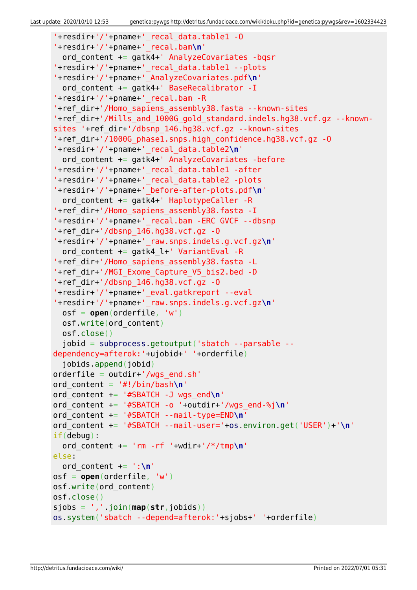```
'+resdir+'/'+pname+'_recal_data.table1 -O
'+resdir+'/'+pname+'_recal.bam\n'
   ord_content += gatk4+' AnalyzeCovariates -bqsr
'+resdir+'/'+pname+'_recal_data.table1 --plots
'+resdir+'/'+pname+'_AnalyzeCovariates.pdf\n'
  ord content += gatk4+' BaseRecalibrator -I
'+resdir+'/'+pname+'_recal.bam -R
'+ref_dir+'/Homo_sapiens_assembly38.fasta --known-sites
'+ref dir+'/Mills and 1000G gold standard.indels.hg38.vcf.gz --known-
sites '+ref_dir+'/dbsnp_146.hg38.vcf.gz --known-sites
'+ref_dir+'/1000G_phase1.snps.high_confidence.hg38.vcf.gz -O
'+resdir+'/'+pname+'_recal_data.table2\n'
   ord_content += gatk4+' AnalyzeCovariates -before
'+resdir+'/'+pname+'_recal_data.table1 -after
'+resdir+'/'+pname+'_recal_data.table2 -plots
'+resdir+'/'+pname+'_before-after-plots.pdf\n'
  ord content += gatk4+' HaplotypeCaller -R
'+ref_dir+'/Homo_sapiens_assembly38.fasta -I
'+resdir+'/'+pname+'_recal.bam -ERC GVCF --dbsnp
'+ref dir+'/dbsnp 146.hq38.vcf.gz -0'+resdir+'/'+pname+'_raw.snps.indels.g.vcf.gz\n'
   ord_content += gatk4_l+' VariantEval -R
'+ref_dir+'/Homo_sapiens_assembly38.fasta -L
'+ref_dir+'/MGI_Exome_Capture_V5_bis2.bed -D
'+ref dir+'/dbsnp 146.hq38.vcf.qz -0'+resdir+'/'+pname+'_eval.gatkreport --eval
'+resdir+'/'+pname+'_raw.snps.indels.g.vcf.gz\n'
   osf = open(orderfile, 'w')
   osf.write(ord_content)
   osf.close()
   jobid = subprocess.getoutput('sbatch --parsable --
dependency=afterok:'+ujobid+' '+orderfile)
   jobids.append(jobid)
orderfile = outdir+'/wgs_end.sh'
ord_content = '#!/bin/bash\n'
ord_content += '#SBATCH -J wgs_end\n'
ord_content += '#SBATCH -o '+outdir+'/wgs_end-%j\n'
ord_content += '#SBATCH --mail-type=END\n'
ord_content += '#SBATCH --mail-user='+os.environ.get('USER')+'\n'
if(debug):
  ord content += 'rm -rf '+wdir+'/*/tmp\n'
else:
   ord_content += ':\n'
osf = open(orderfile, 'w')
osf.write(ord_content)
osf.close()
sjobs = ','.join(map(str,jobids))
os.system('sbatch --depend=afterok:'+sjobs+' '+orderfile)
```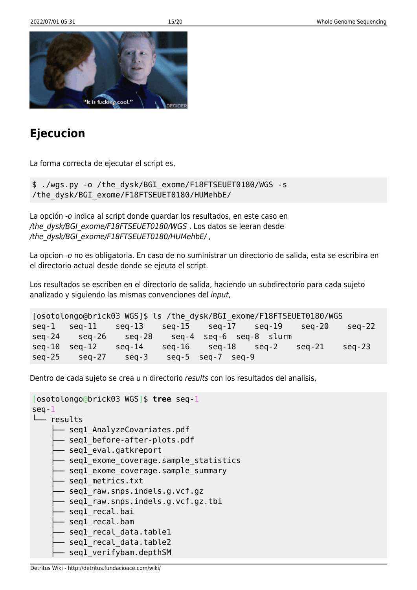

## **Ejecucion**

La forma correcta de ejecutar el script es,

\$ ./wgs.py -o /the\_dysk/BGI\_exome/F18FTSEUET0180/WGS -s /the\_dysk/BGI\_exome/F18FTSEUET0180/HUMehbE/

La opción -o indica al script donde guardar los resultados, en este caso en /the\_dysk/BGI\_exome/F18FTSEUET0180/WGS . Los datos se leeran desde /the\_dysk/BGI\_exome/F18FTSEUET0180/HUMehbE/,

La opcion -o no es obligatoria. En caso de no suministrar un directorio de salida, esta se escribira en el directorio actual desde donde se ejeuta el script.

Los resultados se escriben en el directorio de salida, haciendo un subdirectorio para cada sujeto analizado y siguiendo las mismas convenciones del input,

```
[osotolongo@brick03 WGS]$ ls /the_dysk/BGI_exome/F18FTSEUET0180/WGS
seq-1 seq-11 seq-13 seq-15 seq-17 seq-19 seq-20 seq-22
seq-24 seq-26 seq-28 seq-4 seq-6 seq-8 slurm
seq-10 seq-12 seq-14 seq-16 seq-18 seq-2 seq-21 seq-23
seq-25 seq-27 seq-3 seq-5 seq-7 seq-9
```
Dentro de cada sujeto se crea u n directorio results con los resultados del analisis,

```
[osotolongo@brick03 WGS]$ tree seq-1
seq-1
└── results
     - seql AnalyzeCovariates.pdf
      - seql before-after-plots.pdf
       - seql eval.gatkreport
      - seql exome coverage.sample statistics
      - seql exome coverage.sample summary
      - seql metrics.txt
      - seql raw.snps.indels.g.vcf.gz
       - seql raw.snps.indels.g.vcf.gz.tbi
       - seql_recal.bai
      - seql recal.bam
      - seql recal data.table1
       seq1_recal_data.table2
       seq1 verifybam.depthSM
```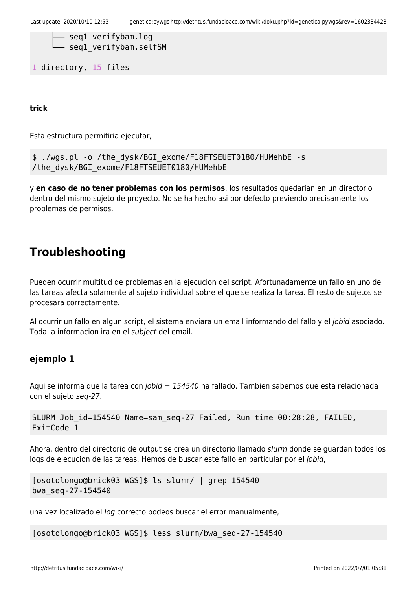```
- seql verifybam.log
seq1 verifybam.selfSM
```
1 directory, 15 files

**trick**

Esta estructura permitiria ejecutar,

```
$ ./wgs.pl -o /the_dysk/BGI_exome/F18FTSEUET0180/HUMehbE -s
/the_dysk/BGI_exome/F18FTSEUET0180/HUMehbE
```
y **en caso de no tener problemas con los permisos**, los resultados quedarian en un directorio dentro del mismo sujeto de proyecto. No se ha hecho asi por defecto previendo precisamente los problemas de permisos.

### **Troubleshooting**

Pueden ocurrir multitud de problemas en la ejecucion del script. Afortunadamente un fallo en uno de las tareas afecta solamente al sujeto individual sobre el que se realiza la tarea. El resto de sujetos se procesara correctamente.

Al ocurrir un fallo en algun script, el sistema enviara un email informando del fallo y el jobid asociado. Toda la informacion ira en el subject del email.

### **ejemplo 1**

Aqui se informa que la tarea con jobid = 154540 ha fallado. Tambien sabemos que esta relacionada con el sujeto seq-27.

```
SLURM Job_id=154540 Name=sam_seq-27 Failed, Run time 00:28:28, FAILED,
ExitCode 1
```
Ahora, dentro del directorio de output se crea un directorio llamado slurm donde se guardan todos los logs de ejecucion de las tareas. Hemos de buscar este fallo en particular por el jobid,

```
[osotolongo@brick03 WGS]$ ls slurm/ | grep 154540
bwa_seq-27-154540
```
una vez localizado el log correcto podeos buscar el error manualmente,

[osotolongo@brick03 WGS]\$ less slurm/bwa\_seq-27-154540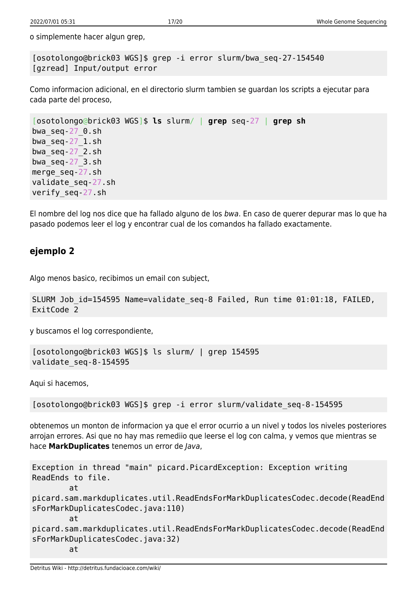o simplemente hacer algun grep,

[osotolongo@brick03 WGS]\$ grep -i error slurm/bwa\_seq-27-154540 [gzread] Input/output error

Como informacion adicional, en el directorio slurm tambien se guardan los scripts a ejecutar para cada parte del proceso,

```
[osotolongo@brick03 WGS]$ ls slurm/ | grep seq-27 | grep sh
bwa_seq-27_0.sh
bwa_seq-27_1.sh
bwa_seq-27_2.sh
bwaseq-27 3.sh
merge_seq-27.sh
validate_seq-27.sh
verify_seq-27.sh
```
El nombre del log nos dice que ha fallado alguno de los bwa. En caso de querer depurar mas lo que ha pasado podemos leer el log y encontrar cual de los comandos ha fallado exactamente.

### **ejemplo 2**

Algo menos basico, recibimos un email con subject,

```
SLURM Job id=154595 Name=validate seq-8 Failed, Run time 01:01:18, FAILED,
ExitCode 2
```
y buscamos el log correspondiente,

```
[osotolongo@brick03 WGS]$ ls slurm/ | grep 154595
validate_seq-8-154595
```
Aqui si hacemos,

[osotolongo@brick03 WGS]\$ grep -i error slurm/validate\_seq-8-154595

obtenemos un monton de informacion ya que el error ocurrio a un nivel y todos los niveles posteriores arrojan errores. Asi que no hay mas remediio que leerse el log con calma, y vemos que mientras se hace **MarkDuplicates** tenemos un error de Java,

```
Exception in thread "main" picard.PicardException: Exception writing
ReadEnds to file.
         at
picard.sam.markduplicates.util.ReadEndsForMarkDuplicatesCodec.decode(ReadEnd
sForMarkDuplicatesCodec.java:110)
         at
picard.sam.markduplicates.util.ReadEndsForMarkDuplicatesCodec.decode(ReadEnd
sForMarkDuplicatesCodec.java:32)
         at
```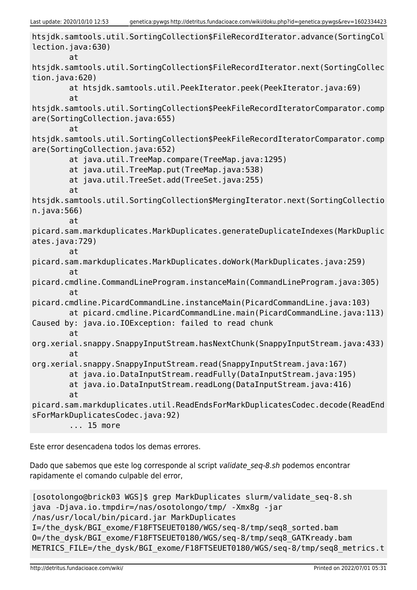```
htsjdk.samtools.util.SortingCollection$FileRecordIterator.advance(SortingCol
lection.java:630)
         at
htsjdk.samtools.util.SortingCollection$FileRecordIterator.next(SortingCollec
tion.java:620)
         at htsjdk.samtools.util.PeekIterator.peek(PeekIterator.java:69)
         at
htsjdk.samtools.util.SortingCollection$PeekFileRecordIteratorComparator.comp
are(SortingCollection.java:655)
         at
htsjdk.samtools.util.SortingCollection$PeekFileRecordIteratorComparator.comp
are(SortingCollection.java:652)
         at java.util.TreeMap.compare(TreeMap.java:1295)
         at java.util.TreeMap.put(TreeMap.java:538)
         at java.util.TreeSet.add(TreeSet.java:255)
         at
htsjdk.samtools.util.SortingCollection$MergingIterator.next(SortingCollectio
n.java:566)
         at
picard.sam.markduplicates.MarkDuplicates.generateDuplicateIndexes(MarkDuplic
ates.java:729)
         at
picard.sam.markduplicates.MarkDuplicates.doWork(MarkDuplicates.java:259)
         at
picard.cmdline.CommandLineProgram.instanceMain(CommandLineProgram.java:305)
         at
picard.cmdline.PicardCommandLine.instanceMain(PicardCommandLine.java:103)
         at picard.cmdline.PicardCommandLine.main(PicardCommandLine.java:113)
Caused by: java.io.IOException: failed to read chunk
         at
org.xerial.snappy.SnappyInputStream.hasNextChunk(SnappyInputStream.java:433)
         at
org.xerial.snappy.SnappyInputStream.read(SnappyInputStream.java:167)
         at java.io.DataInputStream.readFully(DataInputStream.java:195)
         at java.io.DataInputStream.readLong(DataInputStream.java:416)
         at
picard.sam.markduplicates.util.ReadEndsForMarkDuplicatesCodec.decode(ReadEnd
sForMarkDuplicatesCodec.java:92)
         ... 15 more
```
Este error desencadena todos los demas errores.

Dado que sabemos que este log corresponde al script validate seq-8.sh podemos encontrar rapidamente el comando culpable del error,

```
[osotolongo@brick03 WGS]$ grep MarkDuplicates slurm/validate_seq-8.sh
java -Djava.io.tmpdir=/nas/osotolongo/tmp/ -Xmx8g -jar
/nas/usr/local/bin/picard.jar MarkDuplicates
I=/the_dysk/BGI_exome/F18FTSEUET0180/WGS/seq-8/tmp/seq8_sorted.bam
O=/the_dysk/BGI_exome/F18FTSEUET0180/WGS/seq-8/tmp/seq8_GATKready.bam
METRICS_FILE=/the_dysk/BGI_exome/F18FTSEUET0180/WGS/seq-8/tmp/seq8_metrics.t
```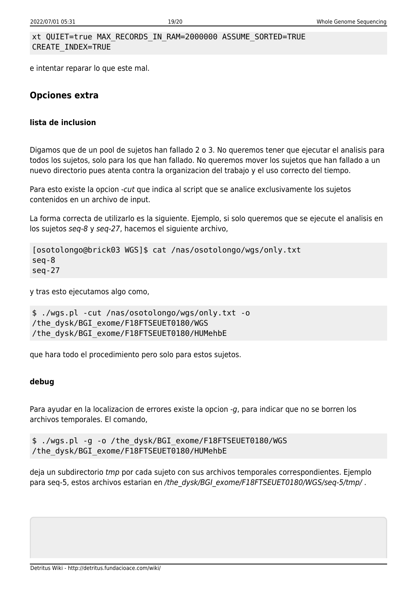#### xt QUIET=true MAX\_RECORDS\_IN\_RAM=2000000 ASSUME\_SORTED=TRUE CREATE\_INDEX=TRUE

e intentar reparar lo que este mal.

### **Opciones extra**

#### **lista de inclusion**

Digamos que de un pool de sujetos han fallado 2 o 3. No queremos tener que ejecutar el analisis para todos los sujetos, solo para los que han fallado. No queremos mover los sujetos que han fallado a un nuevo directorio pues atenta contra la organizacion del trabajo y el uso correcto del tiempo.

Para esto existe la opcion -cut que indica al script que se analice exclusivamente los sujetos contenidos en un archivo de input.

La forma correcta de utilizarlo es la siguiente. Ejemplo, si solo queremos que se ejecute el analisis en los sujetos seq-8 y seq-27, hacemos el siguiente archivo,

```
[osotolongo@brick03 WGS]$ cat /nas/osotolongo/wgs/only.txt
seq-8
seq-27
```
y tras esto ejecutamos algo como,

```
$ ./wgs.pl -cut /nas/osotolongo/wgs/only.txt -o
/the_dysk/BGI_exome/F18FTSEUET0180/WGS
/the_dysk/BGI_exome/F18FTSEUET0180/HUMehbE
```
que hara todo el procedimiento pero solo para estos sujetos.

#### **debug**

Para ayudar en la localizacion de errores existe la opcion -g, para indicar que no se borren los archivos temporales. El comando,

```
$ ./wgs.pl -g -o /the_dysk/BGI_exome/F18FTSEUET0180/WGS
/the_dysk/BGI_exome/F18FTSEUET0180/HUMehbE
```
deja un subdirectorio tmp por cada sujeto con sus archivos temporales correspondientes. Ejemplo para seq-5, estos archivos estarian en /the\_dysk/BGI\_exome/F18FTSEUET0180/WGS/seq-5/tmp/.